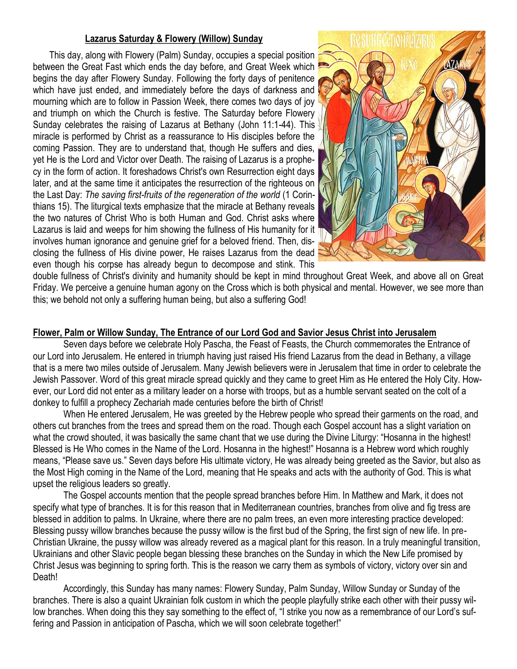# **Lazarus Saturday & Flowery (Willow) Sunday**

 This day, along with Flowery (Palm) Sunday, occupies a special position between the Great Fast which ends the day before, and Great Week which begins the day after Flowery Sunday. Following the forty days of penitence which have just ended, and immediately before the days of darkness and mourning which are to follow in Passion Week, there comes two days of joy and triumph on which the Church is festive. The Saturday before Flowery Sunday celebrates the raising of Lazarus at Bethany (John 11:1-44). This miracle is performed by Christ as a reassurance to His disciples before the coming Passion. They are to understand that, though He suffers and dies, yet He is the Lord and Victor over Death. The raising of Lazarus is a prophecy in the form of action. It foreshadows Christ's own Resurrection eight days later, and at the same time it anticipates the resurrection of the righteous on the Last Day: *The saving first-fruits of the regeneration of the world* (1 Corinthians 15). The liturgical texts emphasize that the miracle at Bethany reveals the two natures of Christ Who is both Human and God. Christ asks where Lazarus is laid and weeps for him showing the fullness of His humanity for it involves human ignorance and genuine grief for a beloved friend. Then, disclosing the fullness of His divine power, He raises Lazarus from the dead even though his corpse has already begun to decompose and stink. This



double fullness of Christ's divinity and humanity should be kept in mind throughout Great Week, and above all on Great Friday. We perceive a genuine human agony on the Cross which is both physical and mental. However, we see more than this; we behold not only a suffering human being, but also a suffering God!

#### **Flower, Palm or Willow Sunday, The Entrance of our Lord God and Savior Jesus Christ into Jerusalem**

Seven days before we celebrate Holy Pascha, the Feast of Feasts, the Church commemorates the Entrance of our Lord into Jerusalem. He entered in triumph having just raised His friend Lazarus from the dead in Bethany, a village that is a mere two miles outside of Jerusalem. Many Jewish believers were in Jerusalem that time in order to celebrate the Jewish Passover. Word of this great miracle spread quickly and they came to greet Him as He entered the Holy City. However, our Lord did not enter as a military leader on a horse with troops, but as a humble servant seated on the colt of a donkey to fulfill a prophecy Zechariah made centuries before the birth of Christ!

When He entered Jerusalem, He was greeted by the Hebrew people who spread their garments on the road, and others cut branches from the trees and spread them on the road. Though each Gospel account has a slight variation on what the crowd shouted, it was basically the same chant that we use during the Divine Liturgy: "Hosanna in the highest! Blessed is He Who comes in the Name of the Lord. Hosanna in the highest!" Hosanna is a Hebrew word which roughly means, "Please save us." Seven days before His ultimate victory, He was already being greeted as the Savior, but also as the Most High coming in the Name of the Lord, meaning that He speaks and acts with the authority of God. This is what upset the religious leaders so greatly.

The Gospel accounts mention that the people spread branches before Him. In Matthew and Mark, it does not specify what type of branches. It is for this reason that in Mediterranean countries, branches from olive and fig tress are blessed in addition to palms. In Ukraine, where there are no palm trees, an even more interesting practice developed: Blessing pussy willow branches because the pussy willow is the first bud of the Spring, the first sign of new life. In pre-Christian Ukraine, the pussy willow was already revered as a magical plant for this reason. In a truly meaningful transition, Ukrainians and other Slavic people began blessing these branches on the Sunday in which the New Life promised by Christ Jesus was beginning to spring forth. This is the reason we carry them as symbols of victory, victory over sin and Death!

Accordingly, this Sunday has many names: Flowery Sunday, Palm Sunday, Willow Sunday or Sunday of the branches. There is also a quaint Ukrainian folk custom in which the people playfully strike each other with their pussy willow branches. When doing this they say something to the effect of, "I strike you now as a remembrance of our Lord's suffering and Passion in anticipation of Pascha, which we will soon celebrate together!"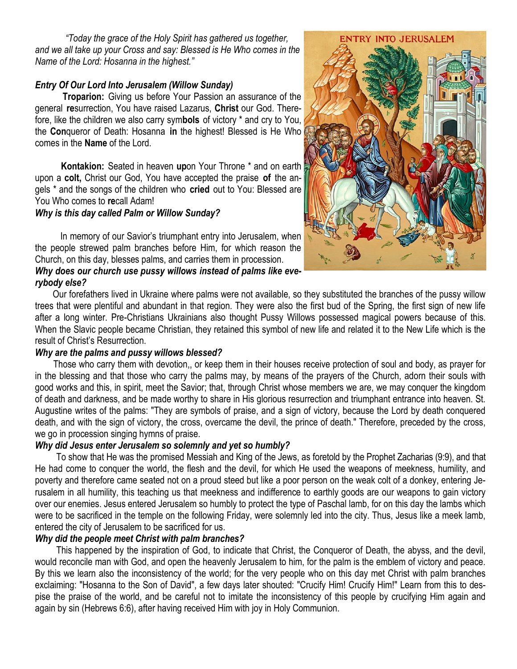*"Today the grace of the Holy Spirit has gathered us together, and we all take up your Cross and say: Blessed is He Who comes in the Name of the Lord: Hosanna in the highest."*

# *Entry Of Our Lord Into Jerusalem (Willow Sunday)*

**Troparion:** Giving us before Your Passion an assurance of the general **re**surrection, You have raised Lazarus, **Christ** our God. Therefore, like the children we also carry sym**bols** of victory \* and cry to You, the **Con**queror of Death: Hosanna **in** the highest! Blessed is He Who comes in the **Name** of the Lord.

 **Kontakion:** Seated in heaven **up**on Your Throne \* and on earth upon a **colt,** Christ our God, You have accepted the praise **of** the angels \* and the songs of the children who **cried** out to You: Blessed are You Who comes to **re**call Adam!

#### *Why is this day called Palm or Willow Sunday?*

In memory of our Savior's triumphant entry into Jerusalem, when the people strewed palm branches before Him, for which reason the Church, on this day, blesses palms, and carries them in procession.

*Why does our church use pussy willows instead of palms like everybody else?*

 Our forefathers lived in Ukraine where palms were not available, so they substituted the branches of the pussy willow trees that were plentiful and abundant in that region. They were also the first bud of the Spring, the first sign of new life after a long winter. Pre-Christians Ukrainians also thought Pussy Willows possessed magical powers because of this. When the Slavic people became Christian, they retained this symbol of new life and related it to the New Life which is the result of Christ's Resurrection.

## *Why are the palms and pussy willows blessed?*

 Those who carry them with devotion,, or keep them in their houses receive protection of soul and body, as prayer for in the blessing and that those who carry the palms may, by means of the prayers of the Church, adorn their souls with good works and this, in spirit, meet the Savior; that, through Christ whose members we are, we may conquer the kingdom of death and darkness, and be made worthy to share in His glorious resurrection and triumphant entrance into heaven. St. Augustine writes of the palms: "They are symbols of praise, and a sign of victory, because the Lord by death conquered death, and with the sign of victory, the cross, overcame the devil, the prince of death." Therefore, preceded by the cross, we go in procession singing hymns of praise.

## *Why did Jesus enter Jerusalem so solemnly and yet so humbly?*

To show that He was the promised Messiah and King of the Jews, as foretold by the Prophet Zacharias (9:9), and that He had come to conquer the world, the flesh and the devil, for which He used the weapons of meekness, humility, and poverty and therefore came seated not on a proud steed but like a poor person on the weak colt of a donkey, entering Jerusalem in all humility, this teaching us that meekness and indifference to earthly goods are our weapons to gain victory over our enemies. Jesus entered Jerusalem so humbly to protect the type of Paschal lamb, for on this day the lambs which were to be sacrificed in the temple on the following Friday, were solemnly led into the city. Thus, Jesus like a meek lamb, entered the city of Jerusalem to be sacrificed for us.

## *Why did the people meet Christ with palm branches?*

 This happened by the inspiration of God, to indicate that Christ, the Conqueror of Death, the abyss, and the devil, would reconcile man with God, and open the heavenly Jerusalem to him, for the palm is the emblem of victory and peace. By this we learn also the inconsistency of the world; for the very people who on this day met Christ with palm branches exclaiming: "Hosanna to the Son of David", a few days later shouted: "Crucify Him! Crucify Him!" Learn from this to despise the praise of the world, and be careful not to imitate the inconsistency of this people by crucifying Him again and again by sin (Hebrews 6:6), after having received Him with joy in Holy Communion.